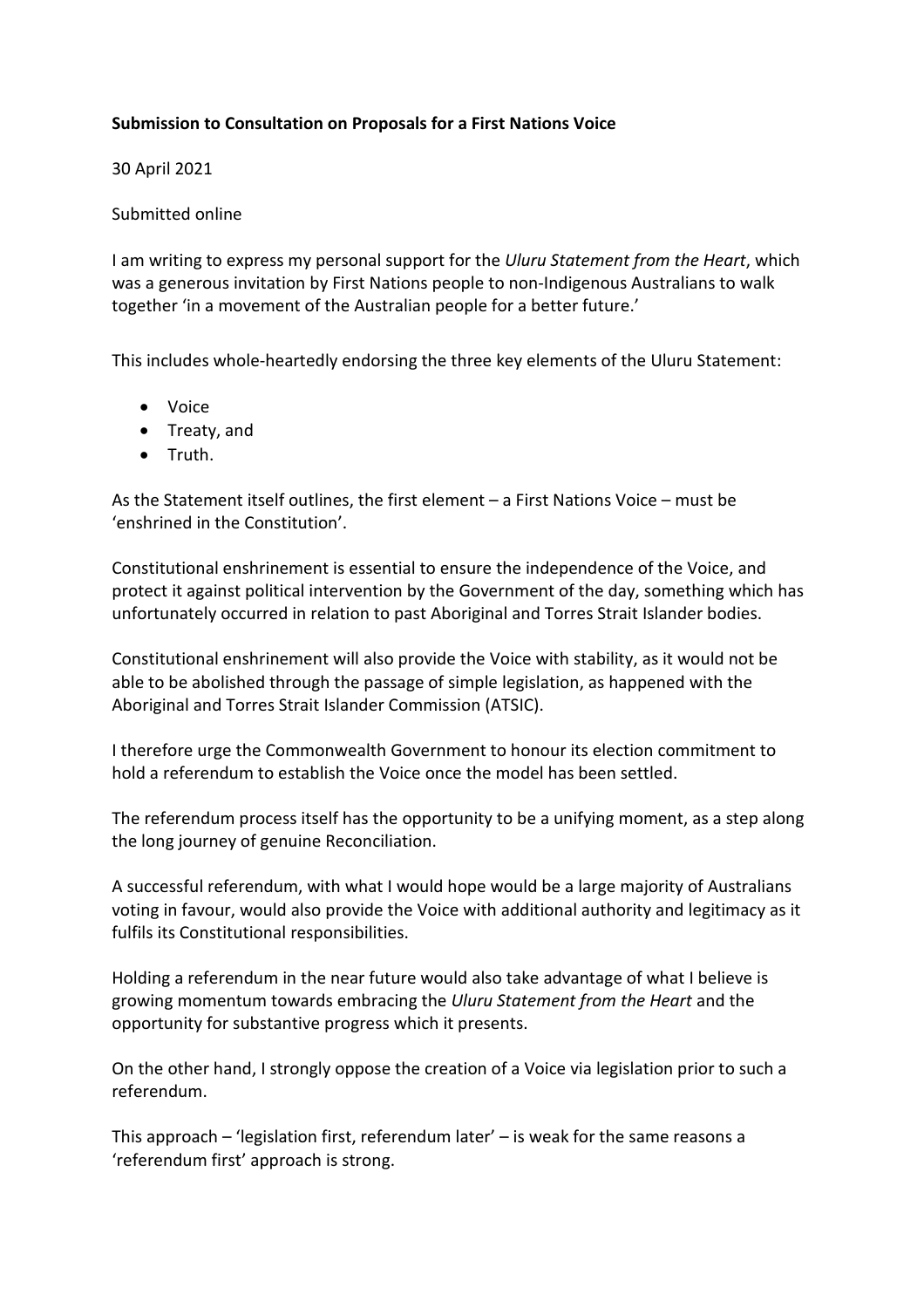## **Submission to Consultation on Proposals for a First Nations Voice**

30 April 2021

## Submitted online

I am writing to express my personal support for the *Uluru Statement from the Heart*, which was a generous invitation by First Nations people to non-Indigenous Australians to walk together 'in a movement of the Australian people for a better future.'

This includes whole-heartedly endorsing the three key elements of the Uluru Statement:

- Voice
- Treaty, and
- Truth.

As the Statement itself outlines, the first element – a First Nations Voice – must be 'enshrined in the Constitution'.

Constitutional enshrinement is essential to ensure the independence of the Voice, and protect it against political intervention by the Government of the day, something which has unfortunately occurred in relation to past Aboriginal and Torres Strait Islander bodies.

Constitutional enshrinement will also provide the Voice with stability, as it would not be able to be abolished through the passage of simple legislation, as happened with the Aboriginal and Torres Strait Islander Commission (ATSIC).

I therefore urge the Commonwealth Government to honour its election commitment to hold a referendum to establish the Voice once the model has been settled.

The referendum process itself has the opportunity to be a unifying moment, as a step along the long journey of genuine Reconciliation.

A successful referendum, with what I would hope would be a large majority of Australians voting in favour, would also provide the Voice with additional authority and legitimacy as it fulfils its Constitutional responsibilities.

Holding a referendum in the near future would also take advantage of what I believe is growing momentum towards embracing the *Uluru Statement from the Heart* and the opportunity for substantive progress which it presents.

On the other hand, I strongly oppose the creation of a Voice via legislation prior to such a referendum.

This approach – 'legislation first, referendum later' – is weak for the same reasons a 'referendum first' approach is strong.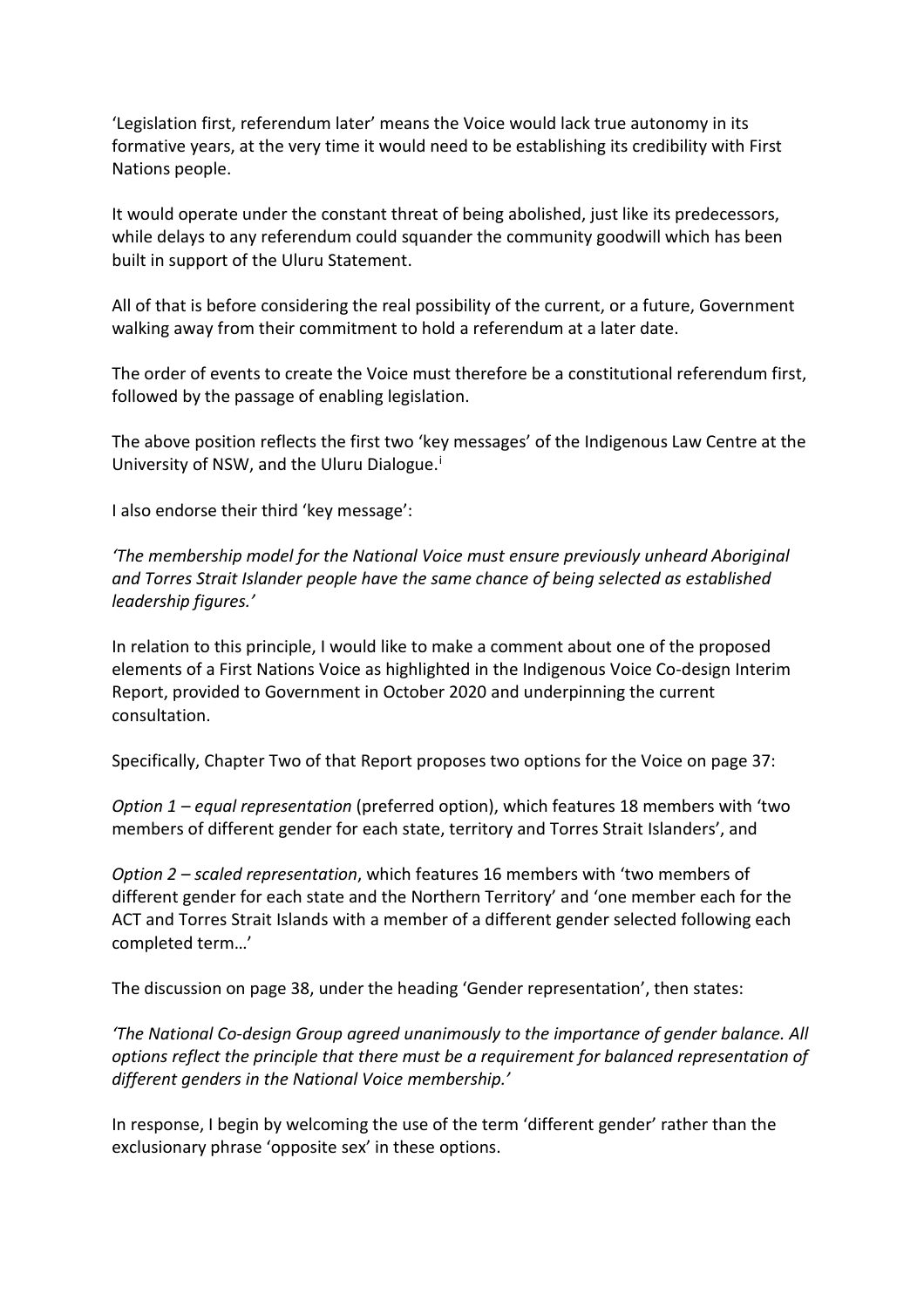'Legislation first, referendum later' means the Voice would lack true autonomy in its formative years, at the very time it would need to be establishing its credibility with First Nations people.

It would operate under the constant threat of being abolished, just like its predecessors, while delays to any referendum could squander the community goodwill which has been built in support of the Uluru Statement.

All of that is before considering the real possibility of the current, or a future, Government walking away from their commitment to hold a referendum at a later date.

The order of events to create the Voice must therefore be a constitutional referendum first, followed by the passage of enabling legislation.

The above position reflects the first two 'key messages' of the Indigenous Law Centre at the Un[i](#page-3-0)versity of NSW, and the Uluru Dialogue.<sup>i</sup>

I also endorse their third 'key message':

*'The membership model for the National Voice must ensure previously unheard Aboriginal and Torres Strait Islander people have the same chance of being selected as established leadership figures.'*

In relation to this principle, I would like to make a comment about one of the proposed elements of a First Nations Voice as highlighted in the Indigenous Voice Co-design Interim Report, provided to Government in October 2020 and underpinning the current consultation.

Specifically, Chapter Two of that Report proposes two options for the Voice on page 37:

*Option 1 – equal representation* (preferred option), which features 18 members with 'two members of different gender for each state, territory and Torres Strait Islanders', and

*Option 2 – scaled representation*, which features 16 members with 'two members of different gender for each state and the Northern Territory' and 'one member each for the ACT and Torres Strait Islands with a member of a different gender selected following each completed term…'

The discussion on page 38, under the heading 'Gender representation', then states:

*'The National Co-design Group agreed unanimously to the importance of gender balance. All options reflect the principle that there must be a requirement for balanced representation of different genders in the National Voice membership.'*

In response, I begin by welcoming the use of the term 'different gender' rather than the exclusionary phrase 'opposite sex' in these options.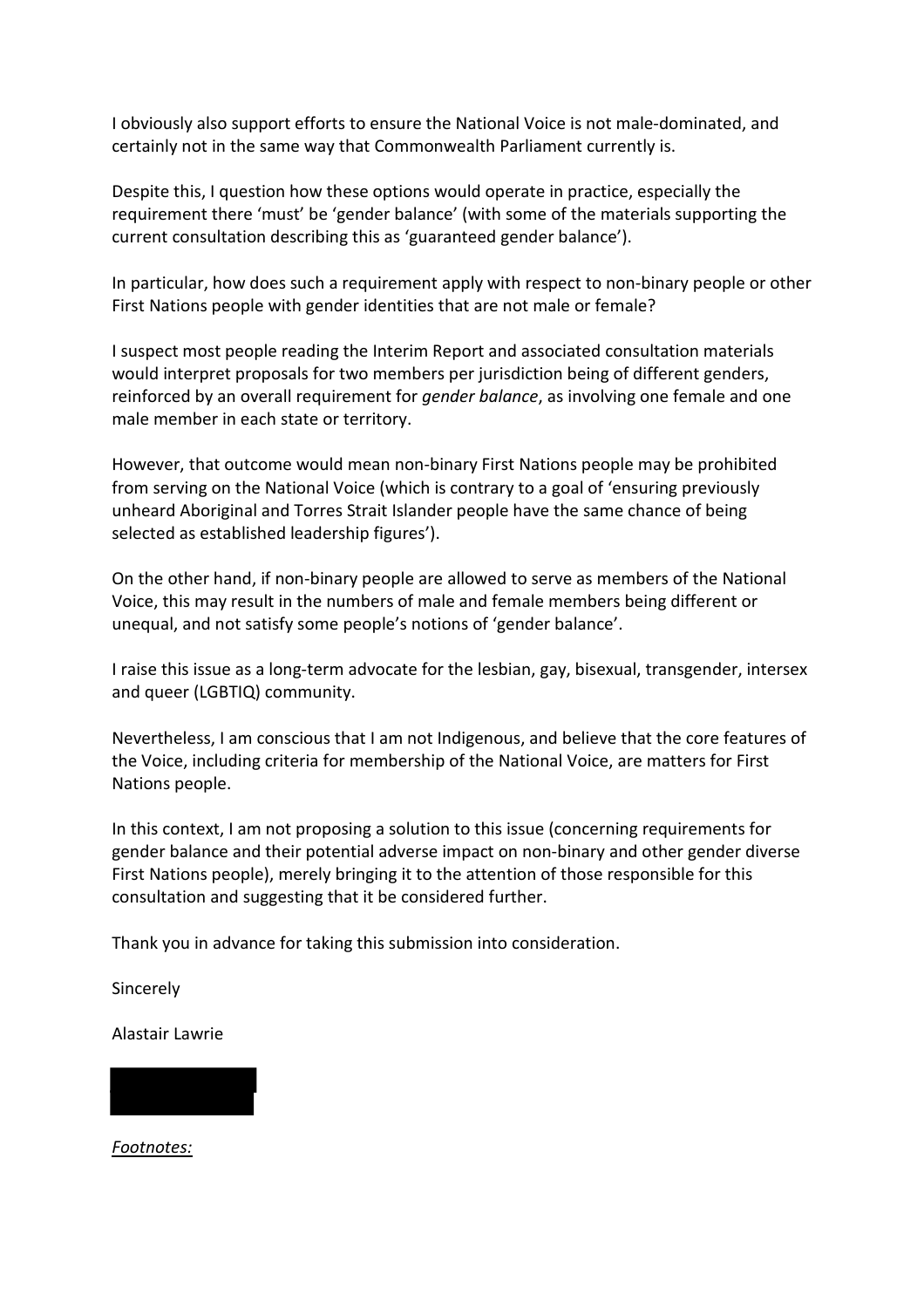I obviously also support efforts to ensure the National Voice is not male-dominated, and certainly not in the same way that Commonwealth Parliament currently is.

Despite this, I question how these options would operate in practice, especially the requirement there 'must' be 'gender balance' (with some of the materials supporting the current consultation describing this as 'guaranteed gender balance').

In particular, how does such a requirement apply with respect to non-binary people or other First Nations people with gender identities that are not male or female?

I suspect most people reading the Interim Report and associated consultation materials would interpret proposals for two members per jurisdiction being of different genders, reinforced by an overall requirement for *gender balance*, as involving one female and one male member in each state or territory.

However, that outcome would mean non-binary First Nations people may be prohibited from serving on the National Voice (which is contrary to a goal of 'ensuring previously unheard Aboriginal and Torres Strait Islander people have the same chance of being selected as established leadership figures').

On the other hand, if non-binary people are allowed to serve as members of the National Voice, this may result in the numbers of male and female members being different or unequal, and not satisfy some people's notions of 'gender balance'.

I raise this issue as a long-term advocate for the lesbian, gay, bisexual, transgender, intersex and queer (LGBTIQ) community.

Nevertheless, I am conscious that I am not Indigenous, and believe that the core features of the Voice, including criteria for membership of the National Voice, are matters for First Nations people.

In this context, I am not proposing a solution to this issue (concerning requirements for gender balance and their potential adverse impact on non-binary and other gender diverse First Nations people), merely bringing it to the attention of those responsible for this consultation and suggesting that it be considered further.

Thank you in advance for taking this submission into consideration.

Sincerely

Alastair Lawrie

*Footnotes:*